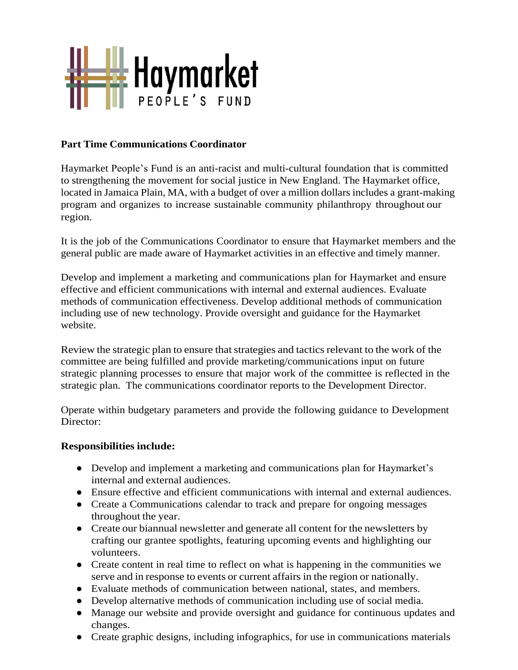

### **Part Time Communications Coordinator**

Haymarket People's Fund is an anti-racist and multi-cultural foundation that is committed to strengthening the movement for social justice in New England. The Haymarket office, located in Jamaica Plain, MA, with a budget of over a million dollars includes a grant-making program and organizes to increase sustainable community philanthropy throughout our region.

It is the job of the Communications Coordinator to ensure that Haymarket members and the general public are made aware of Haymarket activities in an effective and timely manner.

Develop and implement a marketing and communications plan for Haymarket and ensure effective and efficient communications with internal and external audiences. Evaluate methods of communication effectiveness. Develop additional methods of communication including use of new technology. Provide oversight and guidance for the Haymarket website.

Review the strategic plan to ensure that strategies and tactics relevant to the work of the committee are being fulfilled and provide marketing/communications input on future strategic planning processes to ensure that major work of the committee is reflected in the strategic plan. The communications coordinator reports to the Development Director.

Operate within budgetary parameters and provide the following guidance to Development Director:

#### **Responsibilities include:**

- Develop and implement a marketing and communications plan for Haymarket's internal and external audiences.
- Ensure effective and efficient communications with internal and external audiences.
- Create a Communications calendar to track and prepare for ongoing messages throughout the year.
- Create our biannual newsletter and generate all content for the newsletters by crafting our grantee spotlights, featuring upcoming events and highlighting our volunteers.
- Create content in real time to reflect on what is happening in the communities we serve and in response to events or current affairs in the region or nationally.
- Evaluate methods of communication between national, states, and members.
- Develop alternative methods of communication including use of social media.
- Manage our website and provide oversight and guidance for continuous updates and changes.
- Create graphic designs, including infographics, for use in communications materials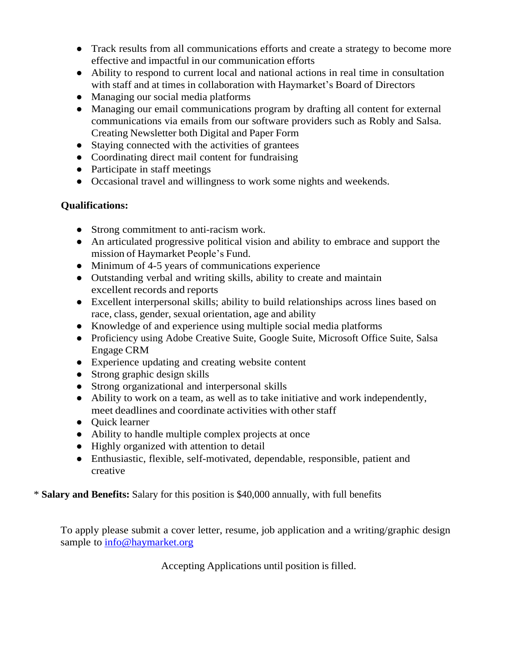- Track results from all communications efforts and create a strategy to become more effective and impactful in our communication efforts
- Ability to respond to current local and national actions in real time in consultation with staff and at times in collaboration with Haymarket's Board of Directors
- Managing our social media platforms
- Managing our email communications program by drafting all content for external communications via emails from our software providers such as Robly and Salsa. Creating Newsletter both Digital and Paper Form
- Staying connected with the activities of grantees
- Coordinating direct mail content for fundraising
- Participate in staff meetings
- Occasional travel and willingness to work some nights and weekends.

## **Qualifications:**

- Strong commitment to anti-racism work.
- An articulated progressive political vision and ability to embrace and support the mission of Haymarket People's Fund.
- Minimum of 4-5 years of communications experience
- Outstanding verbal and writing skills, ability to create and maintain excellent records and reports
- Excellent interpersonal skills; ability to build relationships across lines based on race, class, gender, sexual orientation, age and ability
- Knowledge of and experience using multiple social media platforms
- Proficiency using Adobe Creative Suite, Google Suite, Microsoft Office Suite, Salsa Engage CRM
- Experience updating and creating website content
- Strong graphic design skills
- Strong organizational and interpersonal skills
- Ability to work on a team, as well as to take initiative and work independently, meet deadlines and coordinate activities with other staff
- Quick learner
- Ability to handle multiple complex projects at once
- Highly organized with attention to detail
- Enthusiastic, flexible, self-motivated, dependable, responsible, patient and creative

## \* **Salary and Benefits:** Salary for this position is \$40,000 annually, with full benefits

To apply please submit a cover letter, resume, job application and a writing/graphic design sample to [info@haymarket.org](mailto:info@haymarket.org)

Accepting Applications until position is filled.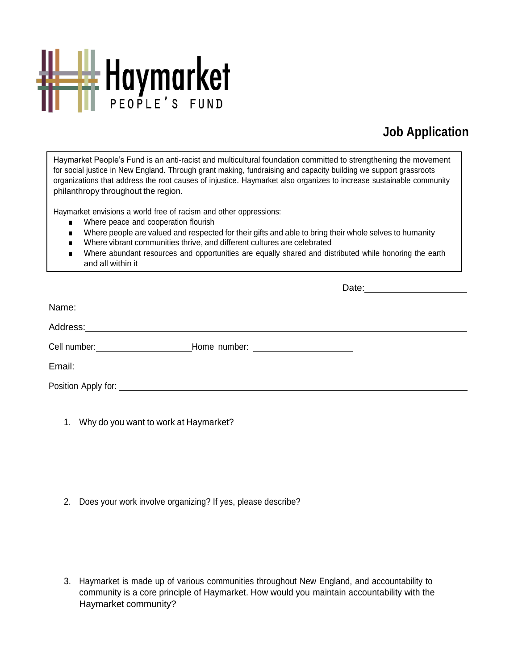

# **Job Application**

Haymarket People's Fund is an anti-racist and multicultural foundation committed to strengthening the movement for social justice in New England. Through grant making, fundraising and capacity building we support grassroots organizations that address the root causes of injustice. Haymarket also organizes to increase sustainable community philanthropy throughout the region.

Haymarket envisions a world free of racism and other oppressions:

- Where peace and cooperation flourish
- Where people are valued and respected for their gifts and able to bring their whole selves to humanity
- Where vibrant communities thrive, and different cultures are celebrated
- Where abundant resources and opportunities are equally shared and distributed while honoring the earth and all within it

|                                                                                  | Date: 2000 |
|----------------------------------------------------------------------------------|------------|
|                                                                                  |            |
|                                                                                  |            |
| Cell number: _______________________________Home number: _______________________ |            |
|                                                                                  |            |
|                                                                                  |            |

1. Why do you want to work at Haymarket?

2. Does your work involve organizing? If yes, please describe?

3. Haymarket is made up of various communities throughout New England, and accountability to community is a core principle of Haymarket. How would you maintain accountability with the Haymarket community?